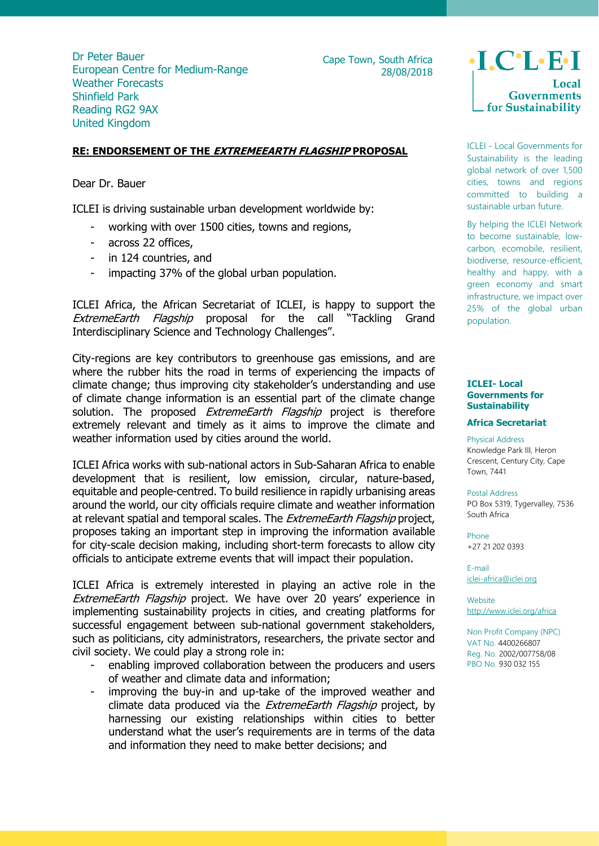Dr Peter Bauer European Centre for Medium-Range Weather Forecasts Shinfield Park Reading RG2 9AX United Kingdom

Cape Town, South Africa 28/08/2018

# **RE: ENDORSEMENT OF THE EXTREMEEARTH FLAGSHIP PROPOSAL**

Dear Dr. Bauer

ICLEI is driving sustainable urban development worldwide by:

- working with over 1500 cities, towns and regions,
- across 22 offices,
- in 124 countries, and
- impacting 37% of the global urban population.

ICLEI Africa, the African Secretariat of ICLEI, is happy to support the ExtremeEarth Flagship proposal for the call "Tackling Grand Interdisciplinary Science and Technology Challenges".

City-regions are key contributors to greenhouse gas emissions, and are where the rubber hits the road in terms of experiencing the impacts of climate change; thus improving city stakeholder's understanding and use of climate change information is an essential part of the climate change solution. The proposed *ExtremeEarth Flagship* project is therefore extremely relevant and timely as it aims to improve the climate and weather information used by cities around the world.

ICLEI Africa works with sub-national actors in Sub-Saharan Africa to enable development that is resilient, low emission, circular, nature-based, equitable and people-centred. To build resilience in rapidly urbanising areas around the world, our city officials require climate and weather information at relevant spatial and temporal scales. The ExtremeEarth Flagship project, proposes taking an important step in improving the information available for city-scale decision making, including short-term forecasts to allow city officials to anticipate extreme events that will impact their population.

ICLEI Africa is extremely interested in playing an active role in the ExtremeEarth Flagship project. We have over 20 years' experience in implementing sustainability projects in cities, and creating platforms for successful engagement between sub-national government stakeholders, such as politicians, city administrators, researchers, the private sector and civil society. We could play a strong role in:

- enabling improved collaboration between the producers and users of weather and climate data and information;
- improving the buy-in and up-take of the improved weather and climate data produced via the *ExtremeEarth Flagship* project, by harnessing our existing relationships within cities to better understand what the user's requirements are in terms of the data and information they need to make better decisions; and

 $\cdot$ I.C $\cdot$ L $\cdot$ E $\cdot$ I **Governments** for Sustainability

ICLEI - Local Governments for Sustainability is the leading global network of over 1,500 cities, towns and regions committed to building a sustainable urban future.

By helping the ICLEI Network to become sustainable, lowcarbon, ecomobile, resilient, biodiverse, resource-efficient, healthy and happy, with a green economy and smart infrastructure, we impact over 25% of the global urban population.

## **ICLEI- Local Governments for Sustainability**

### **Africa Secretariat**

### Physical Address

Knowledge Park III, Heron Crescent, Century City, Cape Town, 7441

#### Postal Address

PO Box 5319, Tygervalley, 7536 South Africa

Phone +27 21 202 0393

E-mail [iclei-africa@iclei.org](mailto:iclei-africa@iclei.org)

Website <http://www.iclei.org/africa>

Non Profit Company (NPC) VAT No. 4400266807 Reg. No. 2002/007758/08 PBO No. 930 032 155